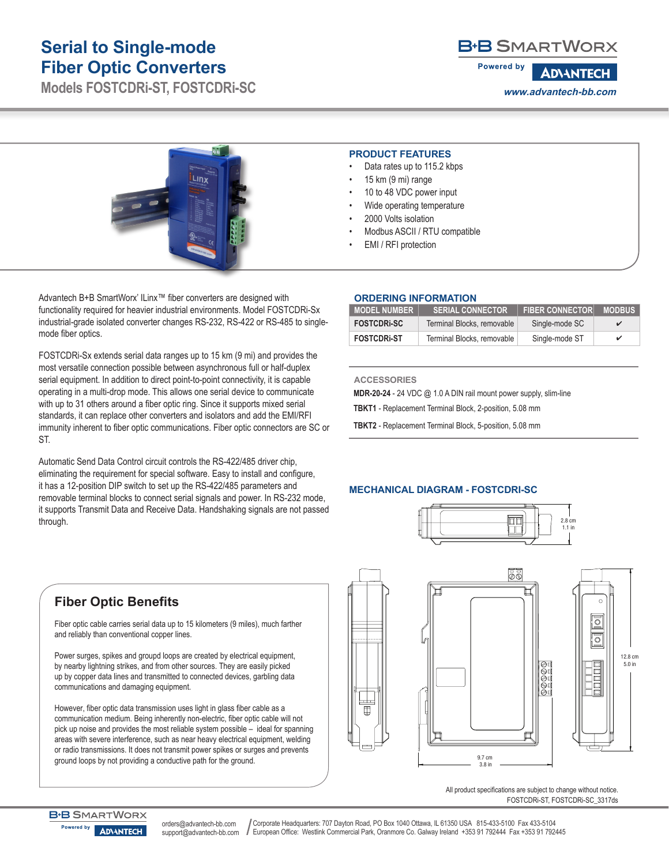# **Serial to Single-mode Fiber Optic Converters**

**Models FOSTCDRi-ST, FOSTCDRi-SC**

## **B-B SMARTWORX**

**Powered by ADVANTECH www.advantech-bb.com**



Advantech B+B SmartWorx' ILinx™ fiber converters are designed with functionality required for heavier industrial environments. Model FOSTCDRi-Sx industrial-grade isolated converter changes RS-232, RS-422 or RS-485 to singlemode fiber optics.

FOSTCDRi-Sx extends serial data ranges up to 15 km (9 mi) and provides the most versatile connection possible between asynchronous full or half-duplex serial equipment. In addition to direct point-to-point connectivity, it is capable operating in a multi-drop mode. This allows one serial device to communicate with up to 31 others around a fiber optic ring. Since it supports mixed serial standards, it can replace other converters and isolators and add the EMI/RFI immunity inherent to fiber optic communications. Fiber optic connectors are SC or ST.

Automatic Send Data Control circuit controls the RS-422/485 driver chip, eliminating the requirement for special software. Easy to install and configure, it has a 12-position DIP switch to set up the RS-422/485 parameters and removable terminal blocks to connect serial signals and power. In RS-232 mode, it supports Transmit Data and Receive Data. Handshaking signals are not passed through.

#### **PRODUCT FEATURES**

- Data rates up to 115.2 kbps
- 15 km (9 mi) range
- 10 to 48 VDC power input
- Wide operating temperature
- 2000 Volts isolation
- Modbus ASCII / RTU compatible
- EMI / RFI protection

### **ORDERING INFORMATION**

| <b>MODEL NUMBER</b> | <b>SERIAL CONNECTOR</b>    | <b>FIBER CONNECTOR</b> | <b>MODBUS</b> |
|---------------------|----------------------------|------------------------|---------------|
| <b>FOSTCDRI-SC</b>  | Terminal Blocks, removable | Single-mode SC         |               |
| <b>FOSTCDRI-ST</b>  | Terminal Blocks, removable | Single-mode ST         | ✓             |

#### **ACCESSORIES**

**MDR-20-24** - 24 VDC @ 1.0 A DIN rail mount power supply, slim-line

**TBKT1** - Replacement Terminal Block, 2-position, 5.08 mm

**TBKT2** - Replacement Terminal Block, 5-position, 5.08 mm

## **MECHANICAL DIAGRAM - FOSTCDRI-SC**



55  $\overline{\circ}$ ॆ 12.8 cm 5.0 in 9.7 cm

3.8 in

All product specifications are subject to change without notice. FOSTCDRi-ST, FOSTCDRi-SC\_3317ds

# **Fiber Optic Benefits**

Fiber optic cable carries serial data up to 15 kilometers (9 miles), much farther and reliably than conventional copper lines.

Power surges, spikes and groupd loops are created by electrical equipment, by nearby lightning strikes, and from other sources. They are easily picked up by copper data lines and transmitted to connected devices, garbling data communications and damaging equipment.

However, fiber optic data transmission uses light in glass fiber cable as a communication medium. Being inherently non-electric, fiber optic cable will not pick up noise and provides the most reliable system possible – ideal for spanning areas with severe interference, such as near heavy electrical equipment, welding or radio transmissions. It does not transmit power spikes or surges and prevents ground loops by not providing a conductive path for the ground.



orders@advantech-bb.com support@advantech-bb.com

Corporate Headquarters: 707 Dayton Road, PO Box 1040 Ottawa, IL 61350 USA 815-433-5100 Fax 433-5104 European Office: Westlink Commercial Park, Oranmore Co. Galway Ireland +353 91 792444 Fax +353 91 792445